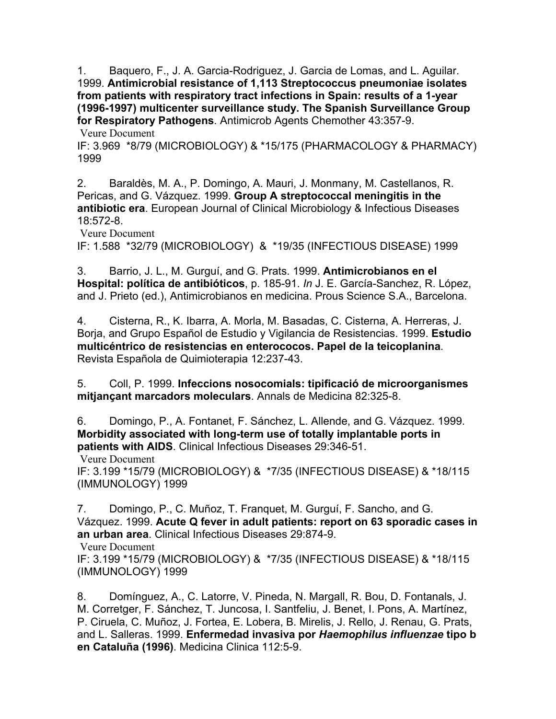1. Baquero, F., J. A. Garcia-Rodriguez, J. Garcia de Lomas, and L. Aguilar. 1999. **Antimicrobial resistance of 1,113 Streptococcus pneumoniae isolates from patients with respiratory tract infections in Spain: results of a 1-year (1996-1997) multicenter surveillance study. The Spanish Surveillance Group for Respiratory Pathogens**. Antimicrob Agents Chemother 43:357-9.

 [Veure Document](http://www.ncbi.nlm.nih.gov/entrez/query.fcgi?cmd=Retrieve&db=PubMed&dopt=Citation&list_uids=9925532)

IF: 3.969 \*8/79 (MICROBIOLOGY) & \*15/175 (PHARMACOLOGY & PHARMACY) 1999

2. Baraldès, M. A., P. Domingo, A. Mauri, J. Monmany, M. Castellanos, R. Pericas, and G. Vázquez. 1999. **Group A streptococcal meningitis in the antibiotic era**. European Journal of Clinical Microbiology & Infectious Diseases 18:572-8.

 [Veure Document](http://www.ncbi.nlm.nih.gov/entrez/query.fcgi?cmd=Retrieve&db=PubMed&dopt=Citation&list_uids=10517194)

IF: 1.588 \*32/79 (MICROBIOLOGY) & \*19/35 (INFECTIOUS DISEASE) 1999

3. Barrio, J. L., M. Gurguí, and G. Prats. 1999. **Antimicrobianos en el Hospital: política de antibióticos**, p. 185-91. *In* J. E. García-Sanchez, R. López, and J. Prieto (ed.), Antimicrobianos en medicina. Prous Science S.A., Barcelona.

4. Cisterna, R., K. Ibarra, A. Morla, M. Basadas, C. Cisterna, A. Herreras, J. Borja, and Grupo Español de Estudio y Vigilancia de Resistencias. 1999. **Estudio multicéntrico de resistencias en enterococos. Papel de la teicoplanina**. Revista Española de Quimioterapia 12:237-43.

5. Coll, P. 1999. **Infeccions nosocomials: tipificació de microorganismes mitjançant marcadors moleculars**. Annals de Medicina 82:325-8.

6. Domingo, P., A. Fontanet, F. Sánchez, L. Allende, and G. Vázquez. 1999. **Morbidity associated with long-term use of totally implantable ports in patients with AIDS**. Clinical Infectious Diseases 29:346-51.

 [Veure Document](http://www.ncbi.nlm.nih.gov/entrez/query.fcgi?cmd=Retrieve&db=PubMed&dopt=Citation&list_uids=10476740)

IF: 3.199 \*15/79 (MICROBIOLOGY) & \*7/35 (INFECTIOUS DISEASE) & \*18/115 (IMMUNOLOGY) 1999

7. Domingo, P., C. Muñoz, T. Franquet, M. Gurguí, F. Sancho, and G. Vázquez. 1999. **Acute Q fever in adult patients: report on 63 sporadic cases in an urban area**. Clinical Infectious Diseases 29:874-9.

 [Veure Document](http://www.ncbi.nlm.nih.gov/entrez/query.fcgi?cmd=Retrieve&db=PubMed&dopt=Citation&list_uids=10589906)

IF: 3.199 \*15/79 (MICROBIOLOGY) & \*7/35 (INFECTIOUS DISEASE) & \*18/115 (IMMUNOLOGY) 1999

8. Domínguez, A., C. Latorre, V. Pineda, N. Margall, R. Bou, D. Fontanals, J. M. Corretger, F. Sánchez, T. Juncosa, I. Santfeliu, J. Benet, I. Pons, A. Martínez, P. Ciruela, C. Muñoz, J. Fortea, E. Lobera, B. Mirelis, J. Rello, J. Renau, G. Prats, and L. Salleras. 1999. **Enfermedad invasiva por** *Haemophilus influenzae* **tipo b en Cataluña (1996)**. Medicina Clinica 112:5-9.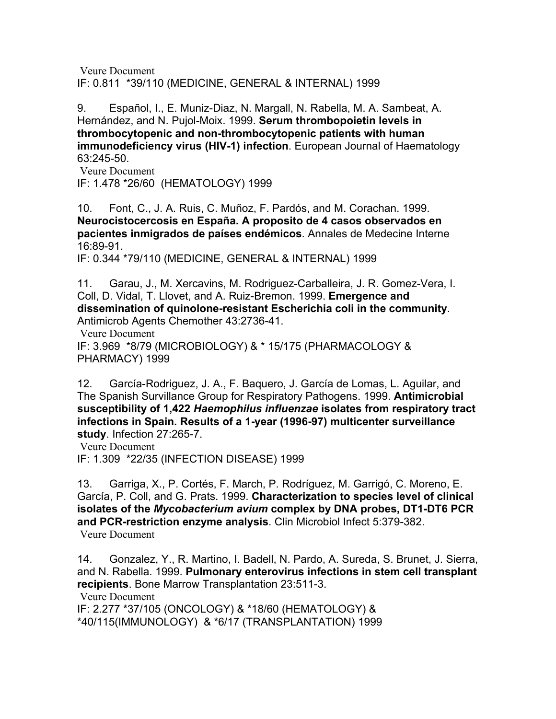[Veure Document](http://www.ncbi.nlm.nih.gov/entrez/query.fcgi?cmd=Retrieve&db=PubMed&dopt=Citation&list_uids=10027178) IF: 0.811 \*39/110 (MEDICINE, GENERAL & INTERNAL) 1999

9. Español, I., E. Muniz-Diaz, N. Margall, N. Rabella, M. A. Sambeat, A. Hernández, and N. Pujol-Moix. 1999. **Serum thrombopoietin levels in thrombocytopenic and non-thrombocytopenic patients with human immunodeficiency virus (HIV-1) infection**. European Journal of Haematology 63:245-50.

 [Veure Document](http://www.ncbi.nlm.nih.gov/entrez/query.fcgi?cmd=Retrieve&db=PubMed&dopt=Citation&list_uids=10530413) IF: 1.478 \*26/60 (HEMATOLOGY) 1999

10. Font, C., J. A. Ruis, C. Muñoz, F. Pardós, and M. Corachan. 1999. **Neurocistocercosis en España. A proposito de 4 casos observados en pacientes inmigrados de países endémicos**. Annales de Medecine Interne 16:89-91.

IF: 0.344 \*79/110 (MEDICINE, GENERAL & INTERNAL) 1999

11. Garau, J., M. Xercavins, M. Rodriguez-Carballeira, J. R. Gomez-Vera, I. Coll, D. Vidal, T. Llovet, and A. Ruiz-Bremon. 1999. **Emergence and dissemination of quinolone-resistant Escherichia coli in the community**. Antimicrob Agents Chemother 43:2736-41.

 [Veure Document](http://www.ncbi.nlm.nih.gov/entrez/query.fcgi?cmd=Retrieve&db=PubMed&dopt=Citation&list_uids=10543756) IF: 3.969 \*8/79 (MICROBIOLOGY) & \* 15/175 (PHARMACOLOGY & PHARMACY) 1999

12. García-Rodriguez, J. A., F. Baquero, J. García de Lomas, L. Aguilar, and The Spanish Survillance Group for Respiratory Pathogens. 1999. **Antimicrobial susceptibility of 1,422** *Haemophilus influenzae* **isolates from respiratory tract infections in Spain. Results of a 1-year (1996-97) multicenter surveillance study**. Infection 27:265-7.

 [Veure Document](http://www.ncbi.nlm.nih.gov/entrez/query.fcgi?cmd=Retrieve&db=PubMed&dopt=Citation&list_uids=10885840) IF: 1.309 \*22/35 (INFECTION DISEASE) 1999

13. Garriga, X., P. Cortés, F. March, P. Rodríguez, M. Garrigó, C. Moreno, E. García, P. Coll, and G. Prats. 1999. **Characterization to species level of clinical isolates of the** *Mycobacterium avium* **complex by DNA probes, DT1-DT6 PCR and PCR-restriction enzyme analysis**. Clin Microbiol Infect 5:379-382.  [Veure Document](http://www.ncbi.nlm.nih.gov/entrez/query.fcgi?cmd=Retrieve&db=PubMed&dopt=Citation&list_uids=11856285)

14. Gonzalez, Y., R. Martino, I. Badell, N. Pardo, A. Sureda, S. Brunet, J. Sierra, and N. Rabella. 1999. **Pulmonary enterovirus infections in stem cell transplant recipients**. Bone Marrow Transplantation 23:511-3.

 [Veure Document](http://www.ncbi.nlm.nih.gov/entrez/query.fcgi?cmd=Retrieve&db=PubMed&dopt=Citation&list_uids=10100567) IF: 2.277 \*37/105 (ONCOLOGY) & \*18/60 (HEMATOLOGY) & \*40/115(IMMUNOLOGY) & \*6/17 (TRANSPLANTATION) 1999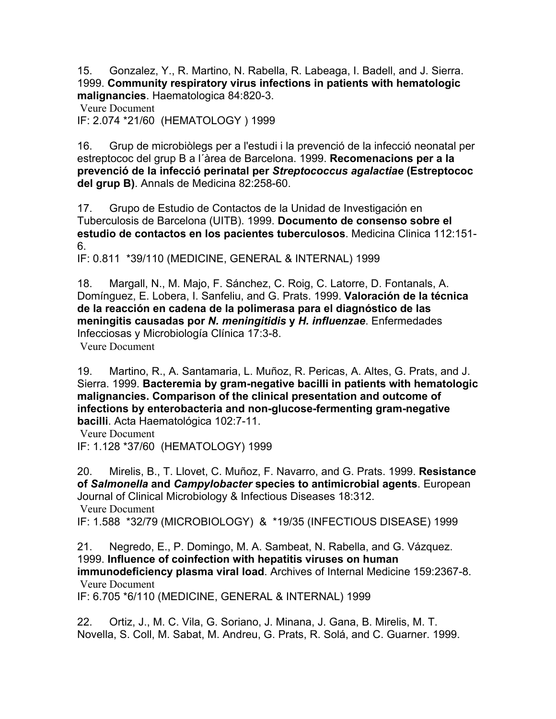15. Gonzalez, Y., R. Martino, N. Rabella, R. Labeaga, I. Badell, and J. Sierra. 1999. **Community respiratory virus infections in patients with hematologic malignancies**. Haematologica 84:820-3.

 [Veure Document](http://www.ncbi.nlm.nih.gov/entrez/query.fcgi?cmd=Retrieve&db=PubMed&dopt=Citation&list_uids=10477456)

IF: 2.074 \*21/60 (HEMATOLOGY ) 1999

16. Grup de microbiòlegs per a l'estudi i la prevenció de la infecció neonatal per estreptococ del grup B a l´àrea de Barcelona. 1999. **Recomenacions per a la prevenció de la infecció perinatal per** *Streptococcus agalactiae* **(Estreptococ del grup B)**. Annals de Medicina 82:258-60.

17. Grupo de Estudio de Contactos de la Unidad de Investigación en Tuberculosis de Barcelona (UITB). 1999. **Documento de consenso sobre el estudio de contactos en los pacientes tuberculosos**. Medicina Clinica 112:151- 6.

IF: 0.811 \*39/110 (MEDICINE, GENERAL & INTERNAL) 1999

18. Margall, N., M. Majo, F. Sánchez, C. Roig, C. Latorre, D. Fontanals, A. Domínguez, E. Lobera, I. Sanfeliu, and G. Prats. 1999. **Valoración de la técnica de la reacción en cadena de la polimerasa para el diagnóstico de las meningitis causadas por** *N. meningitidis* **y** *H. influenzae*. Enfermedades Infecciosas y Microbiología Clínica 17:3-8.

 [Veure Document](http://www.ncbi.nlm.nih.gov/entrez/query.fcgi?cmd=Retrieve&db=PubMed&dopt=Citation&list_uids=10069105)

19. Martino, R., A. Santamaria, L. Muñoz, R. Pericas, A. Altes, G. Prats, and J. Sierra. 1999. **Bacteremia by gram-negative bacilli in patients with hematologic malignancies. Comparison of the clinical presentation and outcome of infections by enterobacteria and non-glucose-fermenting gram-negative bacilli**. Acta Haematológica 102:7-11.

 [Veure Document](http://www.ncbi.nlm.nih.gov/entrez/query.fcgi?cmd=Retrieve&db=PubMed&dopt=Citation&list_uids=10473881)

IF: 1.128 \*37/60 (HEMATOLOGY) 1999

20. Mirelis, B., T. Llovet, C. Muñoz, F. Navarro, and G. Prats. 1999. **Resistance of** *Salmonella* **and** *Campylobacter* **species to antimicrobial agents**. European Journal of Clinical Microbiology & Infectious Diseases 18:312.  [Veure Document](http://www.ncbi.nlm.nih.gov/entrez/query.fcgi?cmd=Retrieve&db=PubMed&dopt=Citation&list_uids=10385026)

IF: 1.588 \*32/79 (MICROBIOLOGY) & \*19/35 (INFECTIOUS DISEASE) 1999

21. Negredo, E., P. Domingo, M. A. Sambeat, N. Rabella, and G. Vázquez. 1999. **Influence of coinfection with hepatitis viruses on human immunodeficiency plasma viral load**. Archives of Internal Medicine 159:2367-8.  [Veure Document](http://www.ncbi.nlm.nih.gov/entrez/query.fcgi?cmd=Retrieve&db=PubMed&dopt=Citation&list_uids=10547181)

IF: 6.705 \*6/110 (MEDICINE, GENERAL & INTERNAL) 1999

22. Ortiz, J., M. C. Vila, G. Soriano, J. Minana, J. Gana, B. Mirelis, M. T. Novella, S. Coll, M. Sabat, M. Andreu, G. Prats, R. Solá, and C. Guarner. 1999.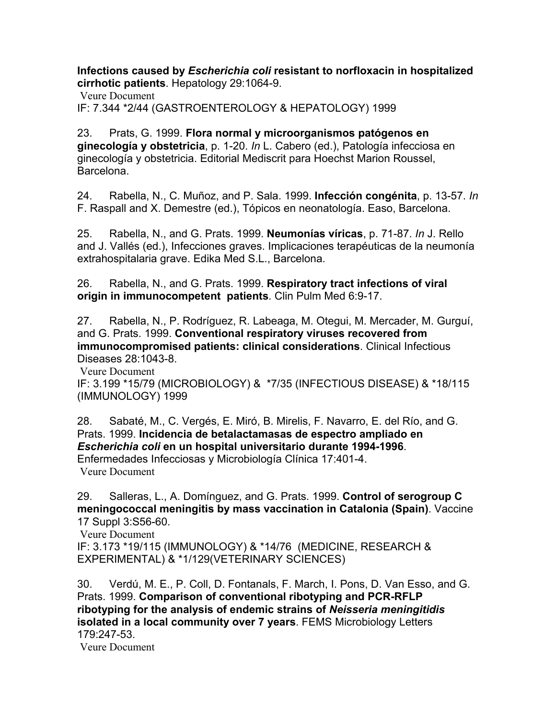**Infections caused by** *Escherichia coli* **resistant to norfloxacin in hospitalized cirrhotic patients**. Hepatology 29:1064-9.

 [Veure Document](http://www.ncbi.nlm.nih.gov/entrez/query.fcgi?cmd=Retrieve&db=PubMed&dopt=Citation&list_uids=10094947) IF: 7.344 \*2/44 (GASTROENTEROLOGY & HEPATOLOGY) 1999

23. Prats, G. 1999. **Flora normal y microorganismos patógenos en ginecología y obstetricia**, p. 1-20. *In* L. Cabero (ed.), Patología infecciosa en ginecología y obstetricia. Editorial Mediscrit para Hoechst Marion Roussel, Barcelona.

24. Rabella, N., C. Muñoz, and P. Sala. 1999. **Infección congénita**, p. 13-57. *In* F. Raspall and X. Demestre (ed.), Tópicos en neonatología. Easo, Barcelona.

25. Rabella, N., and G. Prats. 1999. **Neumonías víricas**, p. 71-87. *In* J. Rello and J. Vallés (ed.), Infecciones graves. Implicaciones terapéuticas de la neumonía extrahospitalaria grave. Edika Med S.L., Barcelona.

26. Rabella, N., and G. Prats. 1999. **Respiratory tract infections of viral origin in immunocompetent patients**. Clin Pulm Med 6:9-17.

27. Rabella, N., P. Rodríguez, R. Labeaga, M. Otegui, M. Mercader, M. Gurguí, and G. Prats. 1999. **Conventional respiratory viruses recovered from immunocompromised patients: clinical considerations**. Clinical Infectious Diseases 28:1043-8.

 [Veure Document](http://www.ncbi.nlm.nih.gov/entrez/query.fcgi?cmd=Retrieve&db=PubMed&dopt=Citation&list_uids=10452632) IF: 3.199 \*15/79 (MICROBIOLOGY) & \*7/35 (INFECTIOUS DISEASE) & \*18/115 (IMMUNOLOGY) 1999

28. Sabaté, M., C. Vergés, E. Miró, B. Mirelis, F. Navarro, E. del Río, and G. Prats. 1999. **Incidencia de betalactamasas de espectro ampliado en** *Escherichia coli* **en un hospital universitario durante 1994-1996**. Enfermedades Infecciosas y Microbiología Clínica 17:401-4.  [Veure Document](http://www.ncbi.nlm.nih.gov/entrez/query.fcgi?cmd=Retrieve&db=PubMed&dopt=Citation&list_uids=10563089)

29. Salleras, L., A. Domínguez, and G. Prats. 1999. **Control of serogroup C meningococcal meningitis by mass vaccination in Catalonia (Spain)**. Vaccine 17 Suppl 3:S56-60.

 [Veure Document](http://www.ncbi.nlm.nih.gov/entrez/query.fcgi?cmd=Retrieve&db=PubMed&dopt=Citation&list_uids=10559536) IF: 3.173 \*19/115 (IMMUNOLOGY) & \*14/76 (MEDICINE, RESEARCH & EXPERIMENTAL) & \*1/129(VETERINARY SCIENCES)

30. Verdú, M. E., P. Coll, D. Fontanals, F. March, I. Pons, D. Van Esso, and G. Prats. 1999. **Comparison of conventional ribotyping and PCR-RFLP ribotyping for the analysis of endemic strains of** *Neisseria meningitidis* **isolated in a local community over 7 years**. FEMS Microbiology Letters 179:247-53.

 [Veure Document](http://www.ncbi.nlm.nih.gov/entrez/query.fcgi?cmd=Retrieve&db=PubMed&dopt=Citation&list_uids=10518723)